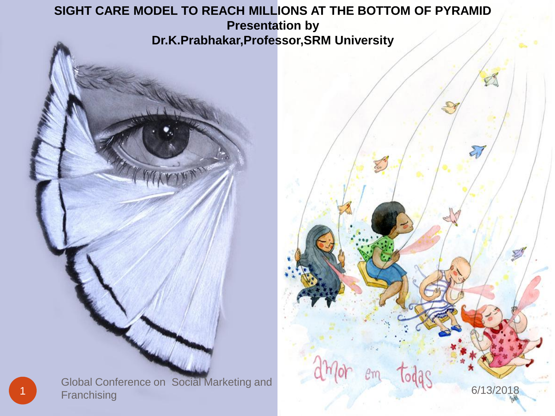#### **SIGHT CARE MODEL TO REACH MILLIONS AT THE BOTTOM OF PYRAMID Presentation by Dr.K.Prabhakar,Professor,SRM University**

Global Conference on Social Marketing and **Franchising** 

**SALES**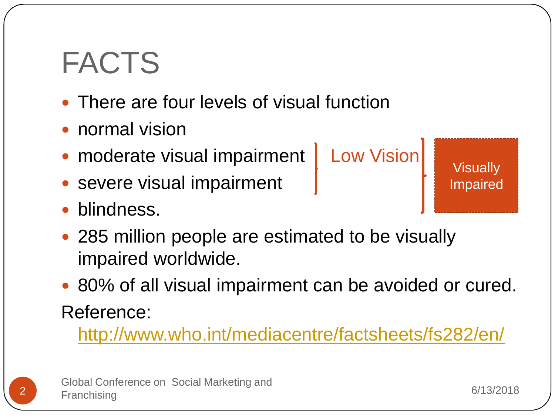# FACTS

- There are four levels of visual function
- normal vision
- moderate visual impairment | Low Vision
- severe visual impairment
- blindness.
- 285 million people are estimated to be visually impaired worldwide.
- 80% of all visual impairment can be avoided or cured. Reference:

<http://www.who.int/mediacentre/factsheets/fs282/en/>

**Visually** Impaired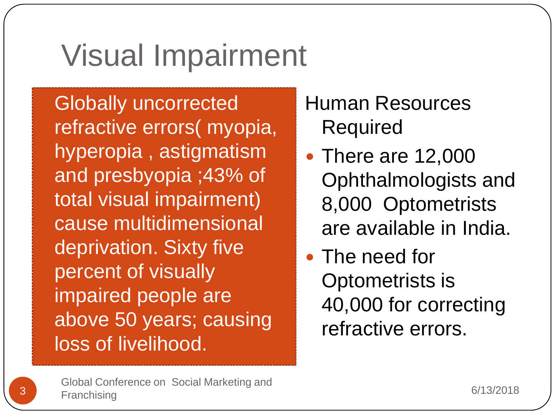# Visual Impairment

 Globally uncorrected refractive errors( myopia, hyperopia , astigmatism and presbyopia ;43% of total visual impairment) cause multidimensional deprivation. Sixty five percent of visually impaired people are above 50 years; causing loss of livelihood.

#### Human Resources Required

- There are 12,000 Ophthalmologists and 8,000 Optometrists are available in India.
- The need for Optometrists is 40,000 for correcting refractive errors.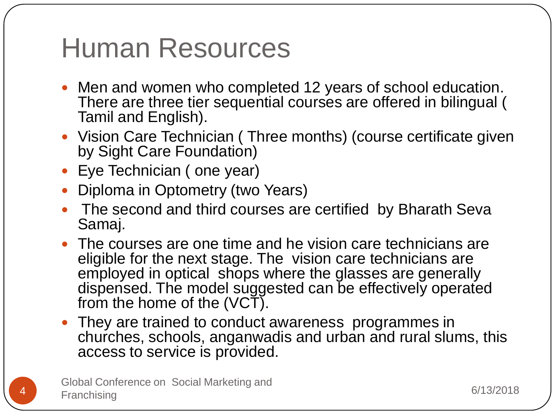## Human Resources

- Men and women who completed 12 years of school education. There are three tier sequential courses are offered in bilingual ( Tamil and English).
- Vision Care Technician ( Three months) (course certificate given by Sight Care Foundation)
- Eye Technician ( one year)
- Diploma in Optometry (two Years)
- The second and third courses are certified by Bharath Seva Samaj.
- The courses are one time and he vision care technicians are eligible for the next stage. The vision care technicians are employed in optical shops where the glasses are generally dispensed. The model suggested can be effectively operated from the home of the (VCT).
- They are trained to conduct awareness programmes in churches, schools, anganwadis and urban and rural slums, this access to service is provided.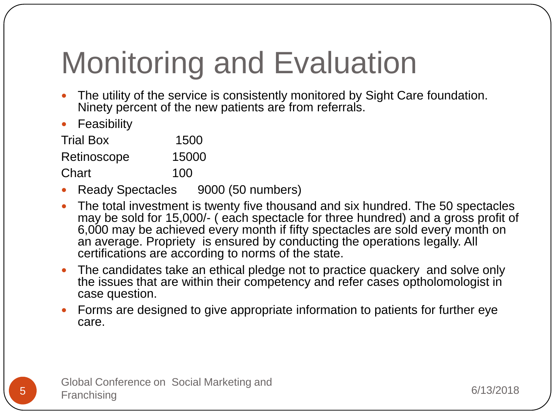# Monitoring and Evaluation

- The utility of the service is consistently monitored by Sight Care foundation. Ninety percent of the new patients are from referrals.
- Feasibility

| <b>Trial Box</b> | 1500  |
|------------------|-------|
| Retinoscope      | 15000 |
| Chart            | 100   |

- Ready Spectacles 9000 (50 numbers)
- The total investment is twenty five thousand and six hundred. The 50 spectacles may be sold for 15,000/- ( each spectacle for three hundred) and a gross profit of 6,000 may be achieved every month if fifty spectacles are sold every month on an average. Propriety is ensured by conducting the operations legally. All certifications are according to norms of the state.
- The candidates take an ethical pledge not to practice quackery and solve only the issues that are within their competency and refer cases optholomologist in case question.
- Forms are designed to give appropriate information to patients for further eye care.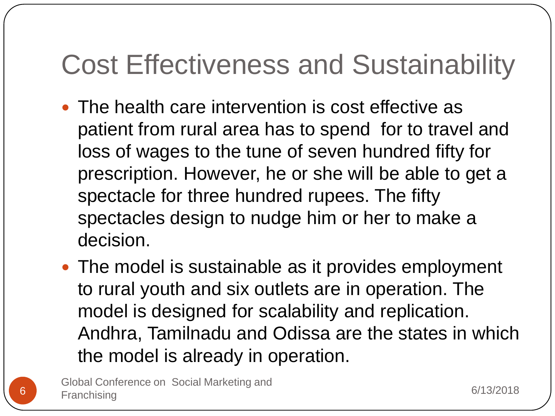## Cost Effectiveness and Sustainability

- The health care intervention is cost effective as patient from rural area has to spend for to travel and loss of wages to the tune of seven hundred fifty for prescription. However, he or she will be able to get a spectacle for three hundred rupees. The fifty spectacles design to nudge him or her to make a decision.
- The model is sustainable as it provides employment to rural youth and six outlets are in operation. The model is designed for scalability and replication. Andhra, Tamilnadu and Odissa are the states in which the model is already in operation.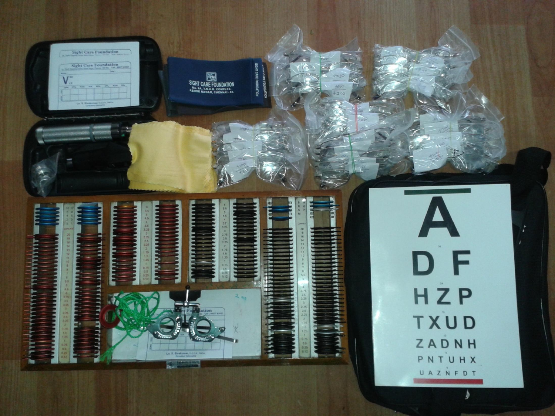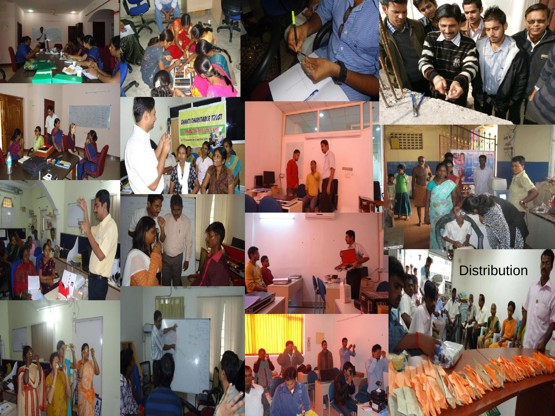